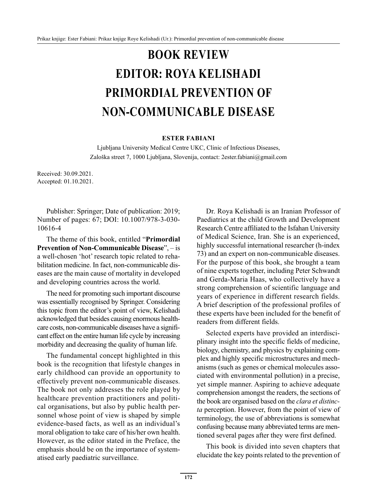## **BOOK REVIEW EDITOR: ROYA KELISHADI PRIMORDIAL PREVENTION OF NON-COMMUNICABLE DISEASE**

## **ESTER FABIANI**

Ljubljana University Medical Centre UKC, Clinic of Infectious Diseases, Zaloška street 7, 1000 Ljubljana, Slovenija, contact: 2ester.fabiani@gmail.com

Received: 30.09.2021. Accepted: 01.10.2021.

Publisher: Springer; Date of publication: 2019; Number of pages: 67; DOI: 10.1007/978-3-030- 10616-4

The theme of this book, entitled "**Primordial Prevention of Non-Communicable Disease**", – is a well-chosen 'hot' research topic related to rehabilitation medicine. In fact, non-communicable diseases are the main cause of mortality in developed and developing countries across the world.

The need for promoting such important discourse was essentially recognised by Springer. Considering this topic from the editor's point of view, Kelishadi acknowledged that besides causing enormous healthcare costs, non-communicable diseases have a significant effect on the entire human life cycle by increasing morbidity and decreasing the quality of human life.

The fundamental concept highlighted in this book is the recognition that lifestyle changes in early childhood can provide an opportunity to effectively prevent non-communicable diseases. The book not only addresses the role played by healthcare prevention practitioners and political organisations, but also by public health personnel whose point of view is shaped by simple evidence-based facts, as well as an individual's moral obligation to take care of his/her own health. However, as the editor stated in the Preface, the emphasis should be on the importance of systematised early paediatric surveillance.

Dr. Roya Kelishadi is an Iranian Professor of Paediatrics at the child Growth and Development Research Centre affiliated to the Isfahan University of Medical Science, Iran. She is an experienced, highly successful international researcher (h-index 73) and an expert on non-communicable diseases. For the purpose of this book, she brought a team of nine experts together, including Peter Schwandt and Gerda-Maria Haas, who collectively have a strong comprehension of scientific language and years of experience in different research fields. A brief description of the professional profiles of these experts have been included for the benefit of readers from different fields.

Selected experts have provided an interdisciplinary insight into the specific fields of medicine, biology, chemistry, and physics by explaining complex and highly specific microstructures and mechanisms (such as genes or chemical molecules associated with environmental pollution) in a precise, yet simple manner. Aspiring to achieve adequate comprehension amongst the readers, the sections of the book are organised based on the *clara et distincta* perception. However, from the point of view of terminology, the use of abbreviations is somewhat confusing because many abbreviated terms are mentioned several pages after they were first defined.

This book is divided into seven chapters that elucidate the key points related to the prevention of